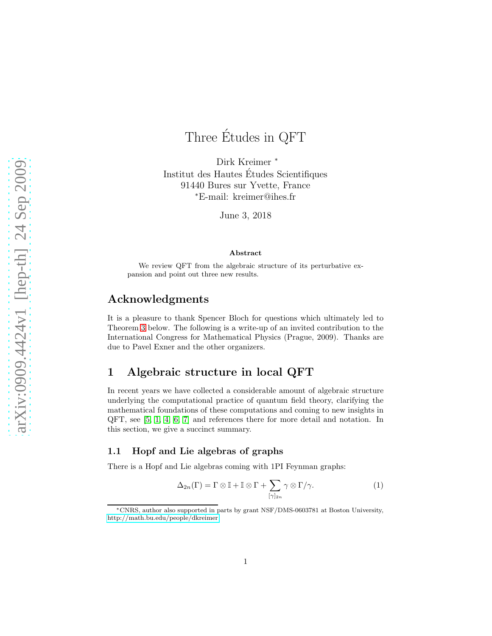# Three Etudes in QFT ´

Dirk Kreimer <sup>∗</sup> Institut des Hautes Etudes Scientifiques ´ 91440 Bures sur Yvette, France <sup>∗</sup>E-mail: kreimer@ihes.fr

June 3, 2018

#### Abstract

We review QFT from the algebraic structure of its perturbative expansion and point out three new results.

# Acknowledgments

It is a pleasure to thank Spencer Bloch for questions which ultimately led to Theorem [3](#page-5-0) below. The following is a write-up of an invited contribution to the International Congress for Mathematical Physics (Prague, 2009). Thanks are due to Pavel Exner and the other organizers.

# 1 Algebraic structure in local QFT

In recent years we have collected a considerable amount of algebraic structure underlying the computational practice of quantum field theory, clarifying the mathematical foundations of these computations and coming to new insights in QFT, see [\[5,](#page-5-1) [1,](#page-5-2) [4,](#page-5-3) [6,](#page-5-4) [7\]](#page-5-5) and references there for more detail and notation. In this section, we give a succinct summary.

## 1.1 Hopf and Lie algebras of graphs

There is a Hopf and Lie algebras coming with 1PI Feynman graphs:

$$
\Delta_{2n}(\Gamma) = \Gamma \otimes \mathbb{I} + \mathbb{I} \otimes \Gamma + \sum_{[\gamma]_{2n}} \gamma \otimes \Gamma/\gamma.
$$
 (1)

<sup>∗</sup>CNRS, author also supported in parts by grant NSF/DMS-0603781 at Boston University, [http://math.bu.edu/people/dkreimer.](http://math.bu.edu/people/dkreimer)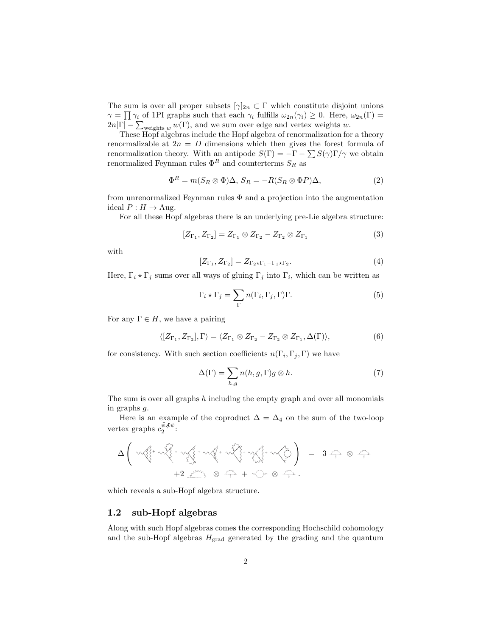The sum is over all proper subsets  $[\gamma]_{2n} \subset \Gamma$  which constitute disjoint unions  $\gamma = \prod \gamma_i$  of 1PI graphs such that each  $\gamma_i$  fulfills  $\omega_{2n}(\gamma_i) \geq 0$ . Here,  $\omega_{2n}(\Gamma) =$  $2n|\Gamma| - \sum_{\text{weights } w} w(\Gamma)$ , and we sum over edge and vertex weights w.

These Hopf algebras include the Hopf algebra of renormalization for a theory renormalizable at  $2n = D$  dimensions which then gives the forest formula of renormalization theory. With an antipode  $S(\Gamma) = -\Gamma - \sum S(\gamma)\Gamma/\gamma$  we obtain renormalized Feynman rules  $\Phi^R$  and counterterms  $S_R$  as

$$
\Phi^R = m(S_R \otimes \Phi)\Delta, S_R = -R(S_R \otimes \Phi P)\Delta,\tag{2}
$$

from unrenormalized Feynman rules  $\Phi$  and a projection into the augmentation ideal  $P: H \to \text{Aug}.$ 

For all these Hopf algebras there is an underlying pre-Lie algebra structure:

$$
[Z_{\Gamma_1}, Z_{\Gamma_2}] = Z_{\Gamma_1} \otimes Z_{\Gamma_2} - Z_{\Gamma_2} \otimes Z_{\Gamma_1}
$$
\n
$$
(3)
$$

with

$$
[Z_{\Gamma_1}, Z_{\Gamma_2}] = Z_{\Gamma_2 \star \Gamma_1 - \Gamma_1 \star \Gamma_2}.
$$
\n
$$
(4)
$$

Here,  $\Gamma_i \star \Gamma_j$  sums over all ways of gluing  $\Gamma_j$  into  $\Gamma_i$ , which can be written as

$$
\Gamma_i \star \Gamma_j = \sum_{\Gamma} n(\Gamma_i, \Gamma_j, \Gamma) \Gamma.
$$
 (5)

For any  $\Gamma \in H$ , we have a pairing

$$
\langle [Z_{\Gamma_1}, Z_{\Gamma_2}], \Gamma \rangle = \langle Z_{\Gamma_1} \otimes Z_{\Gamma_2} - Z_{\Gamma_2} \otimes Z_{\Gamma_1}, \Delta(\Gamma) \rangle, \tag{6}
$$

for consistency. With such section coefficients  $n(\Gamma_i, \Gamma_j, \Gamma)$  we have

$$
\Delta(\Gamma) = \sum_{h,g} n(h,g,\Gamma)g \otimes h. \tag{7}
$$

The sum is over all graphs  $h$  including the empty graph and over all monomials in graphs g.

Here is an example of the coproduct  $\Delta = \Delta_4$  on the sum of the two-loop vertex graphs  $c_2^{\bar{\psi}A\psi}$ :

$$
\Delta \left( \begin{array}{ccccc} \sqrt{2} & \sqrt{2} & \sqrt{2} & \sqrt{2} & \sqrt{2} & \sqrt{2} & \sqrt{2} & \sqrt{2} & \sqrt{2} & \sqrt{2} & \sqrt{2} & \sqrt{2} & \sqrt{2} & \sqrt{2} & \sqrt{2} & \sqrt{2} & \sqrt{2} & \sqrt{2} & \sqrt{2} & \sqrt{2} & \sqrt{2} & \sqrt{2} & \sqrt{2} & \sqrt{2} & \sqrt{2} & \sqrt{2} & \sqrt{2} & \sqrt{2} & \sqrt{2} & \sqrt{2} & \sqrt{2} & \sqrt{2} & \sqrt{2} & \sqrt{2} & \sqrt{2} & \sqrt{2} & \sqrt{2} & \sqrt{2} & \sqrt{2} & \sqrt{2} & \sqrt{2} & \sqrt{2} & \sqrt{2} & \sqrt{2} & \sqrt{2} & \sqrt{2} & \sqrt{2} & \sqrt{2} & \sqrt{2} & \sqrt{2} & \sqrt{2} & \sqrt{2} & \sqrt{2} & \sqrt{2} & \sqrt{2} & \sqrt{2} & \sqrt{2} & \sqrt{2} & \sqrt{2} & \sqrt{2} & \sqrt{2} & \sqrt{2} & \sqrt{2} & \sqrt{2} & \sqrt{2} & \sqrt{2} & \sqrt{2} & \sqrt{2} & \sqrt{2} & \sqrt{2} & \sqrt{2} & \sqrt{2} & \sqrt{2} & \sqrt{2} & \sqrt{2} & \sqrt{2} & \sqrt{2} & \sqrt{2} & \sqrt{2} & \sqrt{2} & \sqrt{2} & \sqrt{2} & \sqrt{2} & \sqrt{2} & \sqrt{2} & \sqrt{2} & \sqrt{2} & \sqrt{2} & \sqrt{2} & \sqrt{2} & \sqrt{2} & \sqrt{2} & \sqrt{2} & \sqrt{2} & \sqrt{2} & \sqrt{2} & \sqrt{2} & \sqrt{2} & \sqrt{2} & \sqrt{2} & \sqrt{2} & \sqrt{2} & \sqrt{2} & \sqrt{2} & \sqrt{2} & \sqrt{2} & \sqrt{2} & \sqrt{2} & \sqrt{2} & \sqrt{2} & \sqrt{2} & \sqrt{2} & \sqrt{2} & \sqrt{2} & \sqrt{2} & \sqrt{2} & \sqrt{2} & \sqrt{2} & \sqrt{2} & \sqrt{2} & \sqrt{2} & \sqrt{2} & \sqrt{2} & \sqrt{2} & \sqrt{
$$

which reveals a sub-Hopf algebra structure.

## 1.2 sub-Hopf algebras

Along with such Hopf algebras comes the corresponding Hochschild cohomology and the sub-Hopf algebras  $H_{\text{grad}}$  generated by the grading and the quantum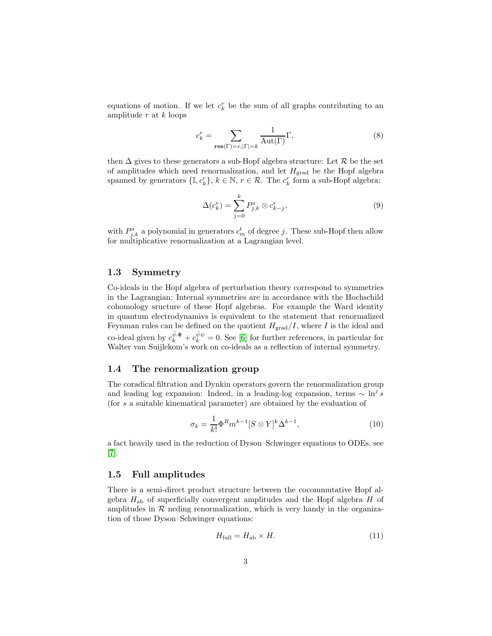equations of motion. If we let  $c_k^r$  be the sum of all graphs contributing to an amplitude  $r$  at  $k$  loops

$$
c_k^r = \sum_{\mathbf{res}(\Gamma) = r, |\Gamma| = k} \frac{1}{\mathrm{Aut}(\Gamma)} \Gamma,\tag{8}
$$

then  $\Delta$  gives to these generators a sub-Hopf algebra structure: Let  $\mathcal R$  be the set of amplitudes which need renormalization, and let  $H_{\text{grad}}$  be the Hopf algebra spanned by generators  $\{\mathbb{I}, c_k^r\}$ ,  $k \in \mathbb{N}$ ,  $r \in \mathcal{R}$ . The  $c_k^r$  form a sub-Hopf algebra:

$$
\Delta(c_k^r) = \sum_{j=0}^k P_{j,k}^s \otimes c_{k-j}^r,\tag{9}
$$

with  $P_{j,k}^s$  a polynomial in generators  $c_m^t$  of degree j. These sub-Hopf then allow for multiplicative renormalization at a Lagrangian level.

## 1.3 Symmetry

Co-ideals in the Hopf algebra of perturbation theory correspond to symmetries in the Lagrangian: Internal symmetries are in accordance with the Hochschild cohomology sructure of these Hopf algebras. For example the Ward identity in quantum electrodynamivs is equivalent to the statement that renormalized Feynman rules can be defined on the quotient  $H_{\text{grad}}/I$ , where I is the ideal and co-ideal given by  $c_k^{\bar{\psi}\phi} + c_k^{\bar{\psi}\psi} = 0$ . See [\[6\]](#page-5-4) for further references, in particular for Walter van Suijlekom's work on co-ideals as a reflection of internal symmetry.

## 1.4 The renormalization group

The coradical filtration and Dynkin operators govern the renormalization group and leading log expansion: Indeed, in a leading-log expansion, terms  $\sim \ln^j s$ (for s a suitable kinematical parameter) are obtained by the evaluation of

$$
\sigma_k = \frac{1}{k!} \Phi^R m^{k-1} [S \otimes Y]^k \Delta^{k-1}, \qquad (10)
$$

a fact heavily used in the reduction of Dyson–Schwinger equations to ODEs, see [\[7\]](#page-5-5).

## 1.5 Full amplitudes

There is a semi-direct product structure between the cocommutative Hopf algebra  $H_{ab}$  of superficially convergent amplitudes and the Hopf algebra  $H$  of amplitudes in  $R$  neding renormalization, which is very handy in the organization of those Dyson–Schwinger equations:

$$
H_{\text{full}} = H_{\text{ab}} \times H. \tag{11}
$$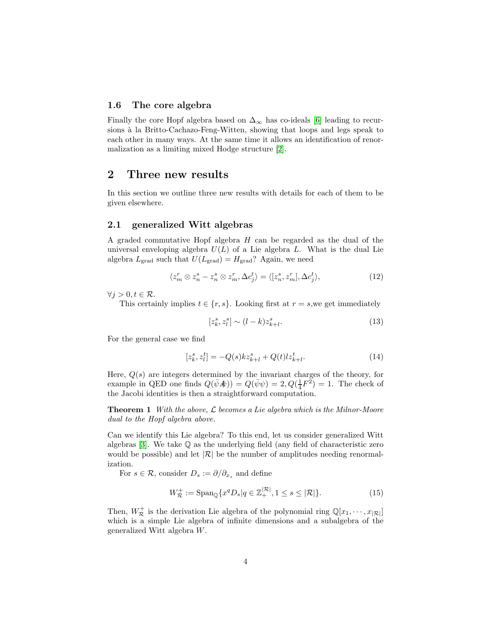## 1.6 The core algebra

Finally the core Hopf algebra based on  $\Delta_{\infty}$  has co-ideals [\[6\]](#page-5-4) leading to recursions à la Britto-Cachazo-Feng-Witten, showing that loops and legs speak to each other in many ways. At the same time it allows an identification of renormalization as a limiting mixed Hodge structure [\[2\]](#page-5-6).

# 2 Three new results

In this section we outline three new results with details for each of them to be given elsewhere.

## 2.1 generalized Witt algebras

A graded commutative Hopf algebra  $H$  can be regarded as the dual of the universal enveloping algebra  $U(L)$  of a Lie algebra L. What is the dual Lie algebra  $L_{\text{grad}}$  such that  $U(L_{\text{grad}}) = H_{\text{grad}}$ ? Again, we need

$$
\langle z_m^r \otimes z_n^s - z_n^s \otimes z_m^r, \Delta c_j^t \rangle = \langle [z_n^s, z_m^r], \Delta c_j^t \rangle, \tag{12}
$$

 $\forall i > 0, t \in \mathcal{R}$ .

This certainly implies  $t \in \{r, s\}$ . Looking first at  $r = s$ , we get immediately

$$
[z_k^s, z_l^s] \sim (l-k)z_{k+l}^s. \tag{13}
$$

For the general case we find

$$
[z_k^s, z_l^t] = -Q(s)kz_{k+l}^s + Q(t)lz_{k+l}^t.
$$
\n(14)

Here,  $Q(s)$  are integers determined by the invariant charges of the theory, for example in QED one finds  $Q(\bar{\psi}A\!\!\!/)\rangle = Q(\bar{\psi}\psi) = 2, Q(\frac{1}{4}F^2) = 1$ . The check of the Jacobi identities is then a straightforward computation.

**Theorem 1** With the above,  $\mathcal{L}$  becomes a Lie algebra which is the Milnor-Moore dual to the Hopf algebra above.

Can we identify this Lie algebra? To this end, let us consider generalized Witt algebras [\[3\]](#page-5-7). We take  $\mathbb Q$  as the underlying field (any field of characteristic zero would be possible) and let  $|\mathcal{R}|$  be the number of amplitudes needing renormalization.

For  $s \in \mathcal{R}$ , consider  $D_s := \partial/\partial_{x_s}$  and define

$$
W_{\mathcal{R}}^{+} := \text{Span}_{\mathbb{Q}}\{x^{q}D_{s}|q \in \mathbb{Z}_{+}^{|\mathcal{R}|}, 1 \leq s \leq |\mathcal{R}|\}. \tag{15}
$$

Then,  $W_{\mathcal{R}}^{+}$  is the derivation Lie algebra of the polynomial ring  $\mathbb{Q}[x_1, \dots, x_{|\mathcal{R}|}]$ which is a simple Lie algebra of infinite dimensions and a subalgebra of the generalized Witt algebra W.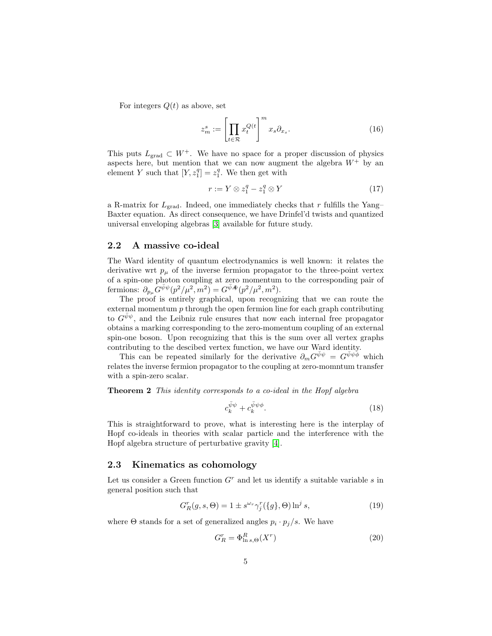For integers  $Q(t)$  as above, set

$$
z_m^s := \left[ \prod_{t \in \mathcal{R}} x_t^{Q(t)} \right]^m x_s \partial_{x_s}.
$$
 (16)

This puts  $L_{\text{grad}} \subset W^+$ . We have no space for a proper discussion of physics aspects here, but mention that we can now augment the algebra  $W^+$  by an element Y such that  $[Y, z_1^q] = z_1^q$ . We then get with

$$
r := Y \otimes z_1^q - z_1^q \otimes Y \tag{17}
$$

a R-matrix for  $L_{\text{grad}}$ . Indeed, one immediately checks that r fulfills the Yang– Baxter equation. As direct consequence, we have Drinfel'd twists and quantized universal enveloping algebras [\[3\]](#page-5-7) available for future study.

## 2.2 A massive co-ideal

The Ward identity of quantum electrodynamics is well known: it relates the derivative wrt  $p_{\mu}$  of the inverse fermion propagator to the three-point vertex of a spin-one photon coupling at zero momentum to the corresponding pair of fermions:  $\partial_{p_\mu} G^{\bar{\psi}\psi}(p^2/\mu^2, m^2) = G^{\bar{\psi}A\!\!\!\!/\psi}(p^2/\mu^2, m^2)$ .

The proof is entirely graphical, upon recognizing that we can route the external momentum  $p$  through the open fermion line for each graph contributing to  $G^{\bar{\psi}\psi}$ , and the Leibniz rule ensures that now each internal free propagator obtains a marking corresponding to the zero-momentum coupling of an external spin-one boson. Upon recognizing that this is the sum over all vertex graphs contributing to the descibed vertex function, we have our Ward identity.

This can be repeated similarly for the derivative  $\partial_m G^{\bar{\psi}\psi} = G^{\bar{\psi}\psi\phi}$  which relates the inverse fermion propagator to the coupling at zero-momntum transfer with a spin-zero scalar.

Theorem 2 This identity corresponds to a co-ideal in the Hopf algebra

$$
c_k^{\bar{\psi}\psi} + c_k^{\bar{\psi}\psi\phi}.\tag{18}
$$

This is straightforward to prove, what is interesting here is the interplay of Hopf co-ideals in theories with scalar particle and the interference with the Hopf algebra structure of perturbative gravity [\[4\]](#page-5-3).

#### 2.3 Kinematics as cohomology

Let us consider a Green function  $G<sup>r</sup>$  and let us identify a suitable variable s in general position such that

$$
G_R^r(g, s, \Theta) = 1 \pm s^{\omega_r} \gamma_j^r(\{g\}, \Theta) \ln^j s,
$$
\n(19)

where  $\Theta$  stands for a set of generalized angles  $p_i \cdot p_j / s$ . We have

$$
G_R^r = \Phi_{\ln s, \Theta}^R(X^r) \tag{20}
$$